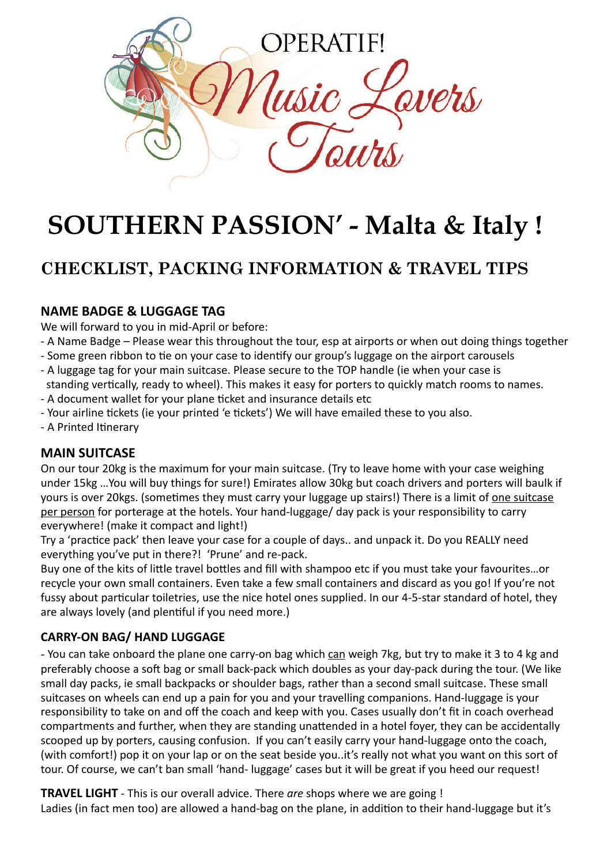

# **SOUTHERN PASSION' - Malta & Italy !**

# **CHECKLIST, PACKING INFORMATION & TRAVEL TIPS**

#### **NAME BADGE & LUGGAGE TAG**

We will forward to you in mid-April or before:

- A Name Badge Please wear this throughout the tour, esp at airports or when out doing things together
- Some green ribbon to tie on your case to identify our group's luggage on the airport carousels
- A luggage tag for your main suitcase. Please secure to the TOP handle (ie when your case is standing vertically, ready to wheel). This makes it easy for porters to quickly match rooms to names.
- A document wallet for your plane ticket and insurance details etc
- Your airline tickets (ie your printed 'e tickets') We will have emailed these to you also.
- A Printed Itinerary

#### **MAIN SUITCASE**

On our tour 20kg is the maximum for your main suitcase. (Try to leave home with your case weighing under 15kg ... You will buy things for sure!) Emirates allow 30kg but coach drivers and porters will baulk if yours is over 20kgs. (sometimes they must carry your luggage up stairs!) There is a limit of one suitcase per person for porterage at the hotels. Your hand-luggage/ day pack is your responsibility to carry everywhere! (make it compact and light!)

Try a 'practice pack' then leave your case for a couple of days.. and unpack it. Do you REALLY need everything you've put in there?! 'Prune' and re-pack.

Buy one of the kits of little travel bottles and fill with shampoo etc if you must take your favourites...or recycle your own small containers. Even take a few small containers and discard as you go! If you're not fussy about particular toiletries, use the nice hotel ones supplied. In our 4-5-star standard of hotel, they are always lovely (and plentiful if you need more.)

#### **CARRY-ON BAG/ HAND LUGGAGE**

- You can take onboard the plane one carry-on bag which can weigh 7kg, but try to make it 3 to 4 kg and preferably choose a soft bag or small back-pack which doubles as your day-pack during the tour. (We like small day packs, ie small backpacks or shoulder bags, rather than a second small suitcase. These small suitcases on wheels can end up a pain for you and your travelling companions. Hand-luggage is your responsibility to take on and off the coach and keep with you. Cases usually don't fit in coach overhead compartments and further, when they are standing unattended in a hotel foyer, they can be accidentally scooped up by porters, causing confusion. If you can't easily carry your hand-luggage onto the coach, (with comfort!) pop it on your lap or on the seat beside you..it's really not what you want on this sort of tour. Of course, we can't ban small 'hand- luggage' cases but it will be great if you heed our request!

**TRAVEL LIGHT** - This is our overall advice. There are shops where we are going! Ladies (in fact men too) are allowed a hand-bag on the plane, in addition to their hand-luggage but it's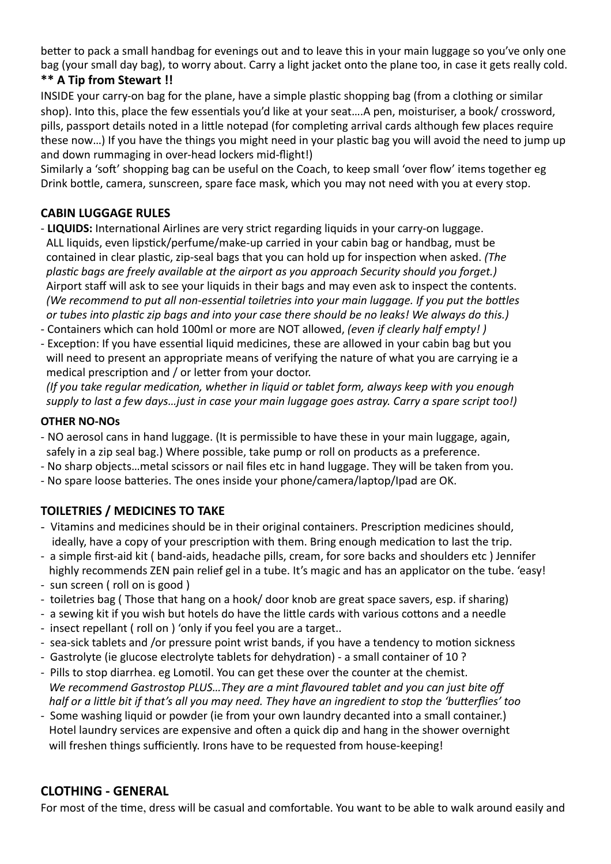better to pack a small handbag for evenings out and to leave this in your main luggage so you've only one bag (your small day bag), to worry about. Carry a light jacket onto the plane too, in case it gets really cold.

## **\*\* A Tip from Stewart !!**

INSIDE your carry-on bag for the plane, have a simple plastic shopping bag (from a clothing or similar shop). Into this, place the few essentials you'd like at your seat....A pen, moisturiser, a book/ crossword, pills, passport details noted in a little notepad (for completing arrival cards although few places require these now...) If you have the things you might need in your plastic bag you will avoid the need to jump up and down rummaging in over-head lockers mid-flight!)

Similarly a 'soft' shopping bag can be useful on the Coach, to keep small 'over flow' items together eg Drink bottle, camera, sunscreen, spare face mask, which you may not need with you at every stop.

## **CABIN LUGGAGE RULES**

- **LIQUIDS:** International Airlines are very strict regarding liquids in your carry-on luggage. ALL liquids, even lipstick/perfume/make-up carried in your cabin bag or handbag, must be contained in clear plastic, zip-seal bags that you can hold up for inspection when asked. *(The plastic bags are freely available at the airport as you approach Security should you forget.)* Airport staff will ask to see your liquids in their bags and may even ask to inspect the contents. *(We recommend to put all non-essential toiletries into your main luggage. If you put the bottles or* tubes into plastic zip bags and into your case there should be no leaks! We always do this.)
- Containers which can hold 100ml or more are NOT allowed, *(even if clearly half empty!)*
- Exception: If you have essential liquid medicines, these are allowed in your cabin bag but you will need to present an appropriate means of verifying the nature of what you are carrying ie a medical prescription and / or letter from your doctor.

*(If you take regular medication, whether in liquid or tablet form, always keep with you enough* supply to last a few days...just in case your main luggage goes astray. Carry a spare script too!)

#### **OTHER NO-NOs**

- NO aerosol cans in hand luggage. (It is permissible to have these in your main luggage, again, safely in a zip seal bag.) Where possible, take pump or roll on products as a preference.
- No sharp objects...metal scissors or nail files etc in hand luggage. They will be taken from you.
- No spare loose batteries. The ones inside your phone/camera/laptop/Ipad are OK.

# **TOILETRIES / MEDICINES TO TAKE**

- Vitamins and medicines should be in their original containers. Prescription medicines should, ideally, have a copy of your prescription with them. Bring enough medication to last the trip.
- a simple first-aid kit ( band-aids, headache pills, cream, for sore backs and shoulders etc ) Jennifer highly recommends ZEN pain relief gel in a tube. It's magic and has an applicator on the tube. 'easy!
- sun screen ( roll on is good )
- toiletries bag ( Those that hang on a hook/ door knob are great space savers, esp. if sharing)
- a sewing kit if you wish but hotels do have the little cards with various cottons and a needle
- insect repellant (roll on ) 'only if you feel you are a target..
- sea-sick tablets and /or pressure point wrist bands, if you have a tendency to motion sickness
- Gastrolyte (ie glucose electrolyte tablets for dehydration) a small container of 10 ?
- Pills to stop diarrhea. eg Lomotil. You can get these over the counter at the chemist. We recommend Gastrostop PLUS...They are a mint flavoured tablet and you can just bite off *half* or a little bit if that's all you may need. They have an ingredient to stop the 'butterflies' too
- Some washing liquid or powder (ie from your own laundry decanted into a small container.) Hotel laundry services are expensive and often a quick dip and hang in the shower overnight will freshen things sufficiently. Irons have to be requested from house-keeping!

# **CLOTHING - GENERAL**

For most of the time, dress will be casual and comfortable. You want to be able to walk around easily and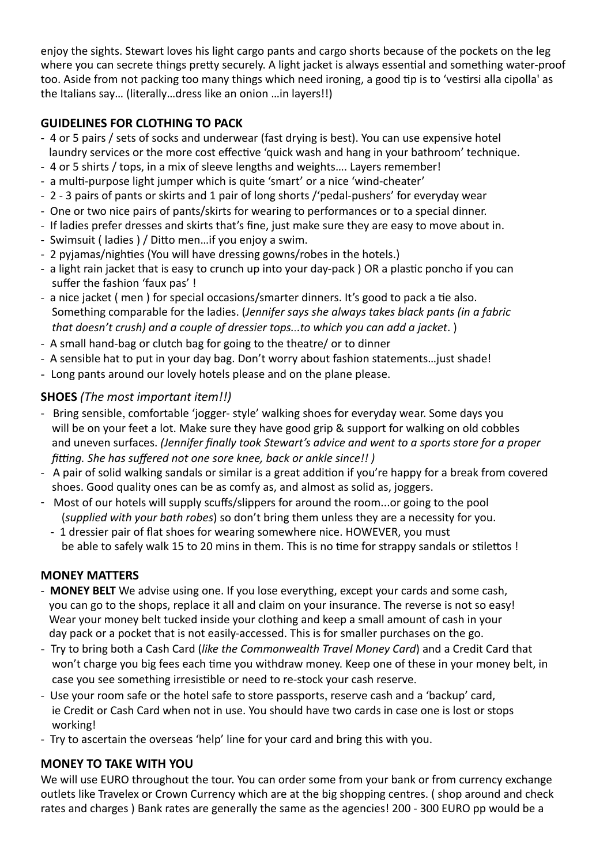enjoy the sights. Stewart loves his light cargo pants and cargo shorts because of the pockets on the leg where you can secrete things pretty securely. A light jacket is always essential and something water-proof too. Aside from not packing too many things which need ironing, a good tip is to 'vestirsi alla cipolla' as the Italians say... (literally...dress like an onion ... in layers!!)

# **GUIDELINES FOR CLOTHING TO PACK**

- 4 or 5 pairs / sets of socks and underwear (fast drying is best). You can use expensive hotel laundry services or the more cost effective 'quick wash and hang in your bathroom' technique.
- 4 or 5 shirts / tops, in a mix of sleeve lengths and weights.... Layers remember!
- a multi-purpose light jumper which is quite 'smart' or a nice 'wind-cheater'
- 2 3 pairs of pants or skirts and 1 pair of long shorts /'pedal-pushers' for everyday wear
- One or two nice pairs of pants/skirts for wearing to performances or to a special dinner.
- If ladies prefer dresses and skirts that's fine, just make sure they are easy to move about in.
- Swimsuit (ladies) / Ditto men...if you enjoy a swim.
- 2 pyjamas/nighties (You will have dressing gowns/robes in the hotels.)
- a light rain jacket that is easy to crunch up into your day-pack ) OR a plastic poncho if you can suffer the fashion 'faux pas'!
- a nice jacket ( men ) for special occasions/smarter dinners. It's good to pack a tie also. Something comparable for the ladies. (Jennifer says she always takes black pants (in a fabric *that doesn't crush)* and a couple of dressier tops...to which you can add a jacket.  $)$
- A small hand-bag or clutch bag for going to the theatre/ or to dinner
- A sensible hat to put in your day bag. Don't worry about fashion statements... just shade!
- Long pants around our lovely hotels please and on the plane please.

# **SHOES** (The most important item!!)

- Bring sensible, comfortable 'jogger- style' walking shoes for everyday wear. Some days you will be on your feet a lot. Make sure they have good grip & support for walking on old cobbles and uneven surfaces. (Jennifer finally took Stewart's advice and went to a sports store for a proper *fitting.* She has suffered not one sore knee, back or ankle since!! )
- A pair of solid walking sandals or similar is a great addition if you're happy for a break from covered shoes. Good quality ones can be as comfy as, and almost as solid as, joggers.
- Most of our hotels will supply scuffs/slippers for around the room...or going to the pool (supplied with your bath robes) so don't bring them unless they are a necessity for you.
	- 1 dressier pair of flat shoes for wearing somewhere nice. HOWEVER, you must be able to safely walk 15 to 20 mins in them. This is no time for strappy sandals or stilettos!

# **MONEY MATTERS**

- **MONEY BELT** We advise using one. If you lose everything, except your cards and some cash, you can go to the shops, replace it all and claim on your insurance. The reverse is not so easy! Wear your money belt tucked inside your clothing and keep a small amount of cash in your day pack or a pocket that is not easily-accessed. This is for smaller purchases on the go.
- Try to bring both a Cash Card (like the Commonwealth Travel Money Card) and a Credit Card that won't charge you big fees each time you withdraw money. Keep one of these in your money belt, in case you see something irresistible or need to re-stock your cash reserve.
- Use your room safe or the hotel safe to store passports, reserve cash and a 'backup' card, ie Credit or Cash Card when not in use. You should have two cards in case one is lost or stops working!
- Try to ascertain the overseas 'help' line for your card and bring this with you.

# **MONEY TO TAKE WITH YOU**

We will use EURO throughout the tour. You can order some from your bank or from currency exchange outlets like Travelex or Crown Currency which are at the big shopping centres. ( shop around and check rates and charges ) Bank rates are generally the same as the agencies! 200 - 300 EURO pp would be a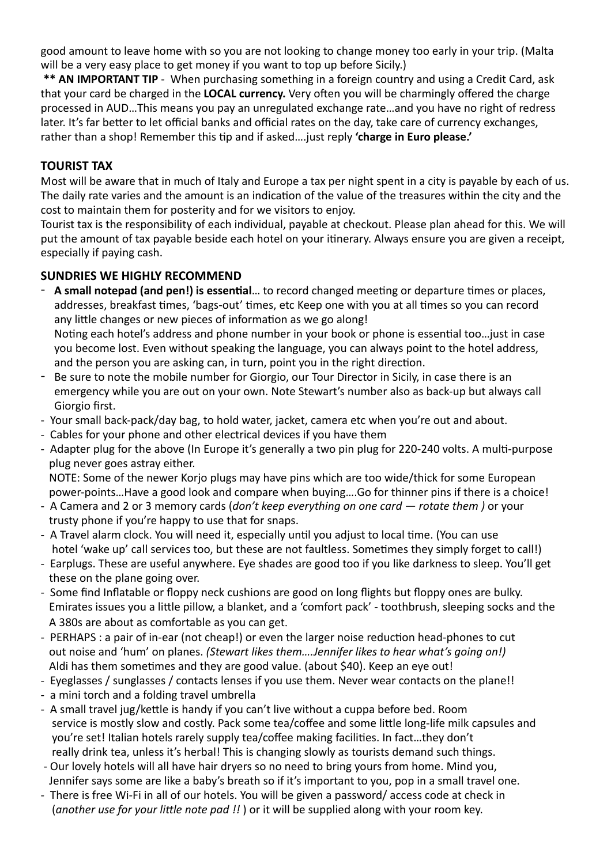good amount to leave home with so you are not looking to change money too early in your trip. (Malta will be a very easy place to get money if you want to top up before Sicily.)

\*\* **AN IMPORTANT TIP** - When purchasing something in a foreign country and using a Credit Card, ask that your card be charged in the LOCAL currency. Very often you will be charmingly offered the charge processed in AUD…This means you pay an unregulated exchange rate…and you have no right of redress later. It's far better to let official banks and official rates on the day, take care of currency exchanges, rather than a shop! Remember this tip and if asked....just reply 'charge in Euro please.'

#### **TOURIST TAX**

Most will be aware that in much of Italy and Europe a tax per night spent in a city is payable by each of us. The daily rate varies and the amount is an indication of the value of the treasures within the city and the cost to maintain them for posterity and for we visitors to enjoy.

Tourist tax is the responsibility of each individual, payable at checkout. Please plan ahead for this. We will put the amount of tax payable beside each hotel on your itinerary. Always ensure you are given a receipt, especially if paying cash.

## **SUNDRIES WE HIGHLY RECOMMEND**

- A small notepad (and pen!) is essential... to record changed meeting or departure times or places, addresses, breakfast times, 'bags-out' times, etc Keep one with you at all times so you can record any little changes or new pieces of information as we go along! Noting each hotel's address and phone number in your book or phone is essential too... just in case you become lost. Even without speaking the language, you can always point to the hotel address, and the person you are asking can, in turn, point you in the right direction.
- Be sure to note the mobile number for Giorgio, our Tour Director in Sicily, in case there is an emergency while you are out on your own. Note Stewart's number also as back-up but always call Giorgio first.
- Your small back-pack/day bag, to hold water, jacket, camera etc when you're out and about.
- Cables for your phone and other electrical devices if you have them
- Adapter plug for the above (In Europe it's generally a two pin plug for 220-240 volts. A multi-purpose plug never goes astray either.

NOTE: Some of the newer Korjo plugs may have pins which are too wide/thick for some European power-points...Have a good look and compare when buying....Go for thinner pins if there is a choice!

- A Camera and 2 or 3 memory cards (*don't keep everything on one card rotate them* ) or your trusty phone if you're happy to use that for snaps.
- A Travel alarm clock. You will need it, especially until you adjust to local time. (You can use hotel 'wake up' call services too, but these are not faultless. Sometimes they simply forget to call!)
- Earplugs. These are useful anywhere. Eye shades are good too if you like darkness to sleep. You'll get these on the plane going over.
- Some find Inflatable or floppy neck cushions are good on long flights but floppy ones are bulky. Emirates issues you a little pillow, a blanket, and a 'comfort pack' - toothbrush, sleeping socks and the A 380s are about as comfortable as you can get.
- PERHAPS : a pair of in-ear (not cheap!) or even the larger noise reduction head-phones to cut out noise and 'hum' on planes. *(Stewart likes them....Jennifer likes to hear what's going on!)* Aldi has them sometimes and they are good value. (about \$40). Keep an eye out!
- Eyeglasses / sunglasses / contacts lenses if you use them. Never wear contacts on the plane!!
- a mini torch and a folding travel umbrella
- A small travel jug/kettle is handy if you can't live without a cuppa before bed. Room service is mostly slow and costly. Pack some tea/coffee and some little long-life milk capsules and you're set! Italian hotels rarely supply tea/coffee making facilities. In fact...they don't really drink tea, unless it's herbal! This is changing slowly as tourists demand such things.
- Our lovely hotels will all have hair dryers so no need to bring yours from home. Mind you, Jennifer says some are like a baby's breath so if it's important to you, pop in a small travel one.
- There is free Wi-Fi in all of our hotels. You will be given a password/ access code at check in (*another use for your little note pad !!*) or it will be supplied along with your room key.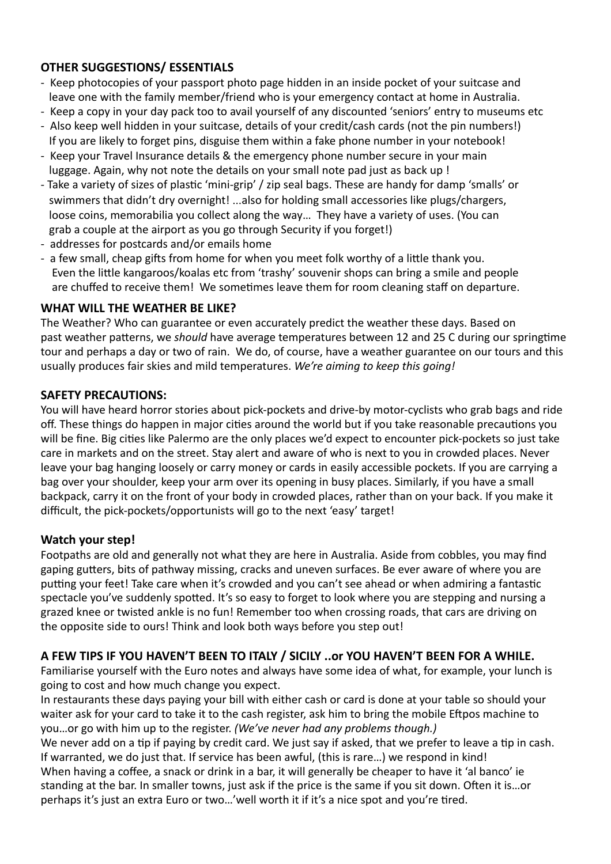# **OTHER SUGGESTIONS/ ESSENTIALS**

- Keep photocopies of your passport photo page hidden in an inside pocket of your suitcase and leave one with the family member/friend who is your emergency contact at home in Australia.
- Keep a copy in your day pack too to avail yourself of any discounted 'seniors' entry to museums etc
- Also keep well hidden in your suitcase, details of your credit/cash cards (not the pin numbers!) If you are likely to forget pins, disguise them within a fake phone number in your notebook!
- Keep your Travel Insurance details & the emergency phone number secure in your main luggage. Again, why not note the details on your small note pad just as back up !
- Take a variety of sizes of plastic 'mini-grip' / zip seal bags. These are handy for damp 'smalls' or swimmers that didn't dry overnight! ...also for holding small accessories like plugs/chargers, loose coins, memorabilia you collect along the way... They have a variety of uses. (You can grab a couple at the airport as you go through Security if you forget!)
- addresses for postcards and/or emails home
- a few small, cheap gifts from home for when you meet folk worthy of a little thank you. Even the little kangaroos/koalas etc from 'trashy' souvenir shops can bring a smile and people are chuffed to receive them! We sometimes leave them for room cleaning staff on departure.

## **WHAT WILL THE WEATHER BE LIKE?**

The Weather? Who can guarantee or even accurately predict the weather these days. Based on past weather patterns, we *should* have average temperatures between 12 and 25 C during our springtime tour and perhaps a day or two of rain. We do, of course, have a weather guarantee on our tours and this usually produces fair skies and mild temperatures. *We're aiming to keep this going!* 

## **SAFETY PRECAUTIONS:**

You will have heard horror stories about pick-pockets and drive-by motor-cyclists who grab bags and ride off. These things do happen in major cities around the world but if you take reasonable precautions you will be fine. Big cities like Palermo are the only places we'd expect to encounter pick-pockets so just take care in markets and on the street. Stay alert and aware of who is next to you in crowded places. Never leave your bag hanging loosely or carry money or cards in easily accessible pockets. If you are carrying a bag over your shoulder, keep your arm over its opening in busy places. Similarly, if you have a small backpack, carry it on the front of your body in crowded places, rather than on your back. If you make it difficult, the pick-pockets/opportunists will go to the next 'easy' target!

#### **Watch your step!**

Footpaths are old and generally not what they are here in Australia. Aside from cobbles, you may find gaping gutters, bits of pathway missing, cracks and uneven surfaces. Be ever aware of where you are putting your feet! Take care when it's crowded and you can't see ahead or when admiring a fantastic spectacle you've suddenly spotted. It's so easy to forget to look where you are stepping and nursing a grazed knee or twisted ankle is no fun! Remember too when crossing roads, that cars are driving on the opposite side to ours! Think and look both ways before you step out!

# A FEW TIPS IF YOU HAVEN'T BEEN TO ITALY / SICILY ..or YOU HAVEN'T BEEN FOR A WHILE.

Familiarise yourself with the Euro notes and always have some idea of what, for example, your lunch is going to cost and how much change you expect.

In restaurants these days paying your bill with either cash or card is done at your table so should your waiter ask for your card to take it to the cash register, ask him to bring the mobile Eftpos machine to you...or go with him up to the register. *(We've never had any problems though.)* 

We never add on a tip if paying by credit card. We just say if asked, that we prefer to leave a tip in cash. If warranted, we do just that. If service has been awful, (this is rare...) we respond in kind! When having a coffee, a snack or drink in a bar, it will generally be cheaper to have it 'al banco' ie standing at the bar. In smaller towns, just ask if the price is the same if you sit down. Often it is...or perhaps it's just an extra Euro or two...'well worth it if it's a nice spot and you're tired.